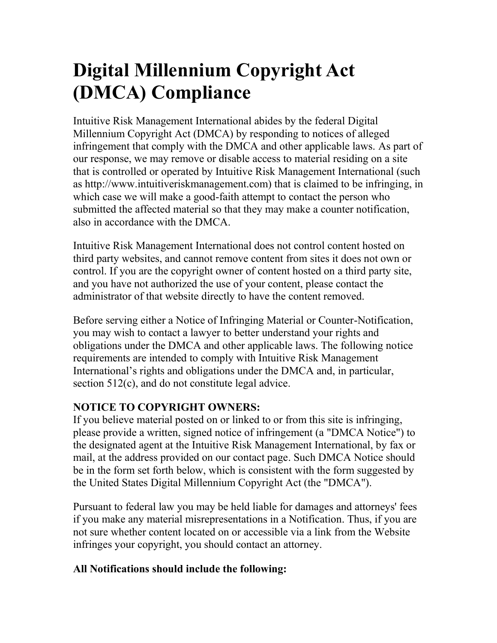## **Digital Millennium Copyright Act (DMCA) Compliance**

Intuitive Risk Management International abides by the federal Digital Millennium Copyright Act (DMCA) by responding to notices of alleged infringement that comply with the DMCA and other applicable laws. As part of our response, we may remove or disable access to material residing on a site that is controlled or operated by Intuitive Risk Management International (such as http://www.intuitiveriskmanagement.com) that is claimed to be infringing, in which case we will make a good-faith attempt to contact the person who submitted the affected material so that they may make a counter notification, also in accordance with the DMCA.

Intuitive Risk Management International does not control content hosted on third party websites, and cannot remove content from sites it does not own or control. If you are the copyright owner of content hosted on a third party site, and you have not authorized the use of your content, please contact the administrator of that website directly to have the content removed.

Before serving either a Notice of Infringing Material or Counter-Notification, you may wish to contact a lawyer to better understand your rights and obligations under the DMCA and other applicable laws. The following notice requirements are intended to comply with Intuitive Risk Management International's rights and obligations under the DMCA and, in particular, section 512(c), and do not constitute legal advice.

## **NOTICE TO COPYRIGHT OWNERS:**

If you believe material posted on or linked to or from this site is infringing, please provide a written, signed notice of infringement (a "DMCA Notice") to the designated agent at the Intuitive Risk Management International, by fax or mail, at the address provided on our contact page. Such DMCA Notice should be in the form set forth below, which is consistent with the form suggested by the United States Digital Millennium Copyright Act (the "DMCA").

Pursuant to federal law you may be held liable for damages and attorneys' fees if you make any material misrepresentations in a Notification. Thus, if you are not sure whether content located on or accessible via a link from the Website infringes your copyright, you should contact an attorney.

## **All Notifications should include the following:**